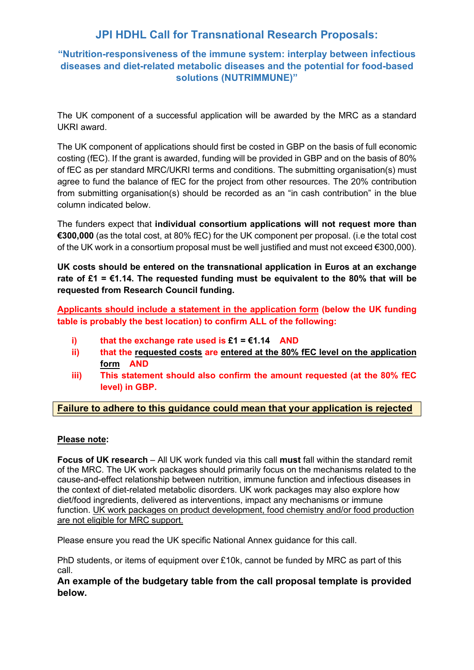# **JPI HDHL Call for Transnational Research Proposals:**

# **"Nutrition-responsiveness of the immune system: interplay between infectious diseases and diet-related metabolic diseases and the potential for food-based solutions (NUTRIMMUNE)"**

The UK component of a successful application will be awarded by the MRC as a standard UKRI award.

The UK component of applications should first be costed in GBP on the basis of full economic costing (fEC). If the grant is awarded, funding will be provided in GBP and on the basis of 80% of fEC as per standard MRC/UKRI terms and conditions. The submitting organisation(s) must agree to fund the balance of fEC for the project from other resources. The 20% contribution from submitting organisation(s) should be recorded as an "in cash contribution" in the blue column indicated below.

The funders expect that **individual consortium applications will not request more than €300,000** (as the total cost, at 80% fEC) for the UK component per proposal. (i.e the total cost of the UK work in a consortium proposal must be well justified and must not exceed €300,000).

**UK costs should be entered on the transnational application in Euros at an exchange rate of £1 = €1.14. The requested funding must be equivalent to the 80% that will be requested from Research Council funding.** 

**Applicants should include a statement in the application form (below the UK funding table is probably the best location) to confirm ALL of the following:**

- **i) that the exchange rate used is £1 = €1.14 AND**
- **ii) that the requested costs are entered at the 80% fEC level on the application form AND**
- **iii) This statement should also confirm the amount requested (at the 80% fEC level) in GBP.**

### **Failure to adhere to this guidance could mean that your application is rejected**

#### **Please note:**

**Focus of UK research** – All UK work funded via this call **must** fall within the standard remit of the MRC. The UK work packages should primarily focus on the mechanisms related to the cause-and-effect relationship between nutrition, immune function and infectious diseases in the context of diet-related metabolic disorders. UK work packages may also explore how diet/food ingredients, delivered as interventions, impact any mechanisms or immune function. UK work packages on product development, food chemistry and/or food production are not eligible for MRC support.

Please ensure you read the UK specific National Annex guidance for this call.

PhD students, or items of equipment over £10k, cannot be funded by MRC as part of this call.

**An example of the budgetary table from the call proposal template is provided below.**